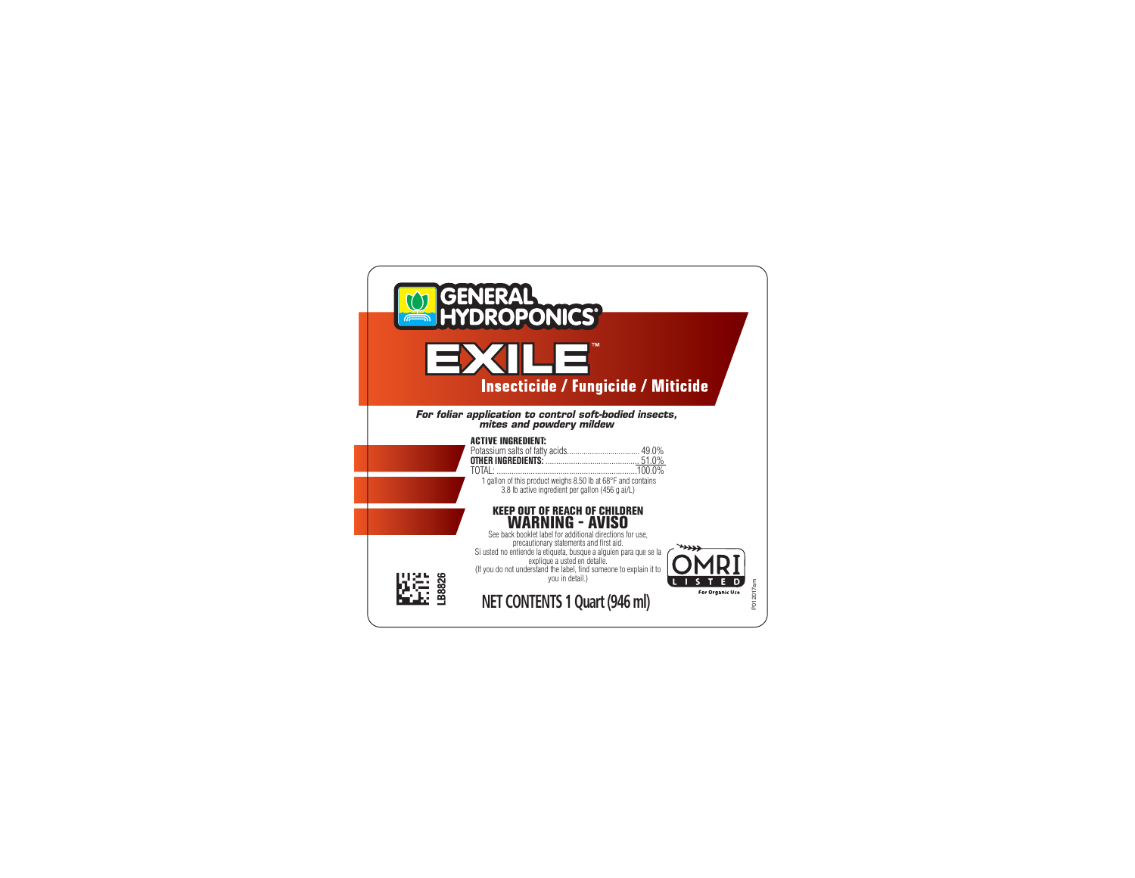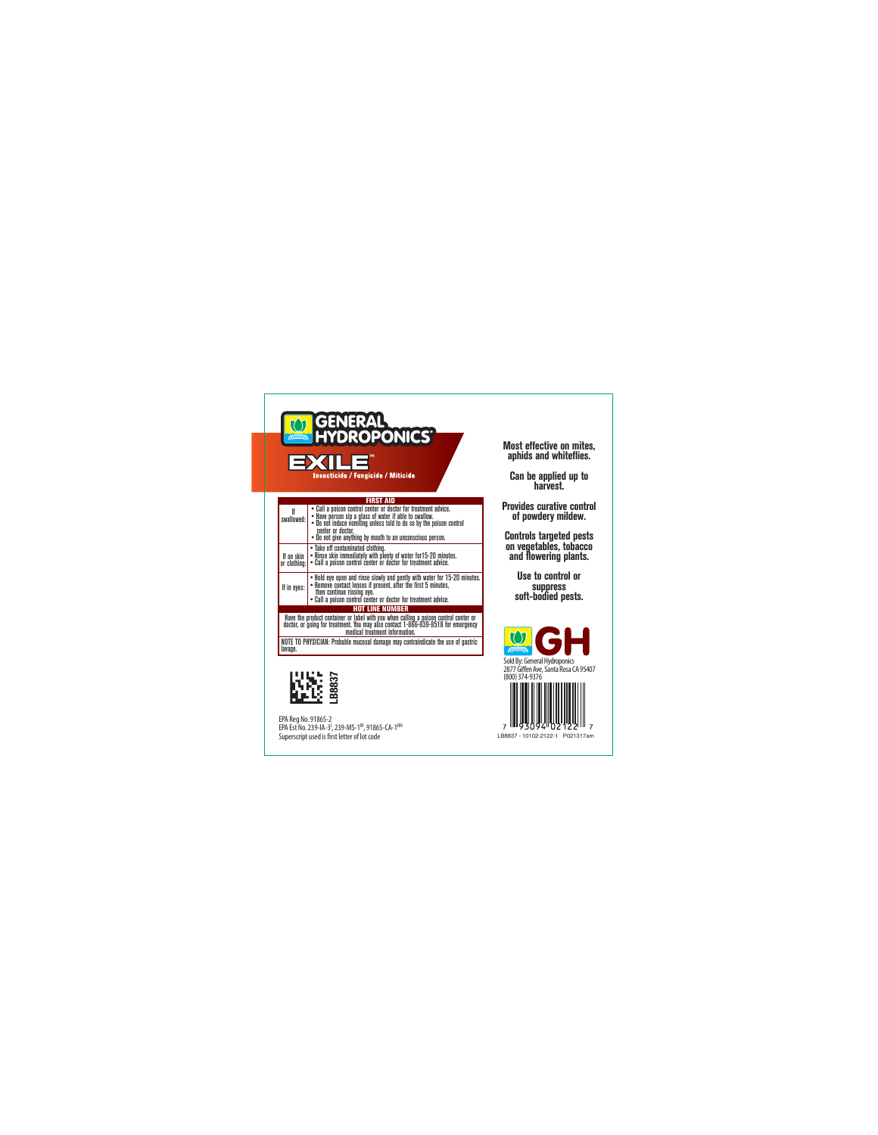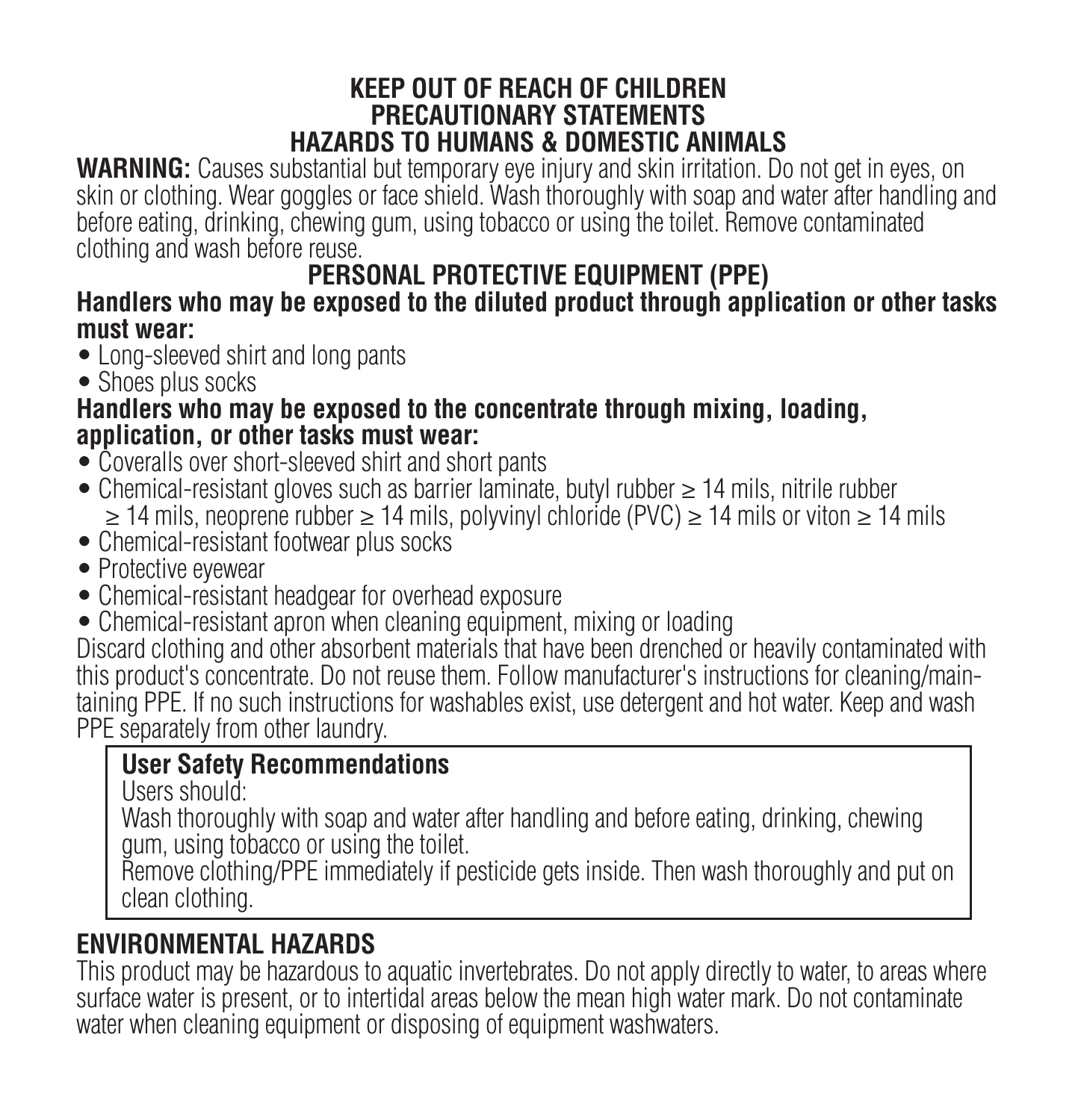#### **KEEP OUT OF REACH OF CHILDREN PRECAUTIONARY STATEMENTS HAZARDS TO HUMANS & DOMESTIC ANIMALS**

**WARNING:** Causes substantial but temporary eye injury and skin irritation. Do not get in eyes, on skin or clothing. Wear goggles or face shield. Wash thoroughly with soap and water after handling and before eating, drinking, chewing gum, using tobacco or using the toilet. Remove contaminated clothing and wash before reuse.

# **PERSONAL PROTECTIVE EQUIPMENT (PPE)**

#### **Handlers who may be exposed to the diluted product through application or other tasks must wear:**

- Long-sleeved shirt and long pants
- Shoes plus socks

#### **Handlers who may be exposed to the concentrate through mixing, loading, application, or other tasks must wear:**

- Coveralls over short-sleeved shirt and short pants
- Chemical-resistant gloves such as barrier laminate, butyl rubber ≥ 14 mils, nitrile rubber ≥ 14 mils, neoprene rubber ≥ 14 mils, polyvinyl chloride (PVC) ≥ 14 mils or viton ≥ 14 mils
- Chemical-resistant footwear plus socks
- Protective eyewear
- Chemical-resistant headgear for overhead exposure
- Chemical-resistant apron when cleaning equipment, mixing or loading

Discard clothing and other absorbent materials that have been drenched or heavily contaminated with this product's concentrate. Do not reuse them. Follow manufacturer's instructions for cleaning/maintaining PPE. If no such instructions for washables exist, use detergent and hot water. Keep and wash PPF separately from other laundry.

# **User Safety Recommendations**

Users should:

Wash thoroughly with soap and water after handling and before eating, drinking, chewing gum, using tobacco or using the toilet.

Remove clothing/PPE immediately if pesticide gets inside. Then wash thoroughly and put on clean clothing.

# **ENVIRONMENTAL HAZARDS**

This product may be hazardous to aquatic invertebrates. Do not apply directly to water, to areas where surface water is present, or to intertidal areas below the mean high water mark. Do not contaminate water when cleaning equipment or disposing of equipment washwaters.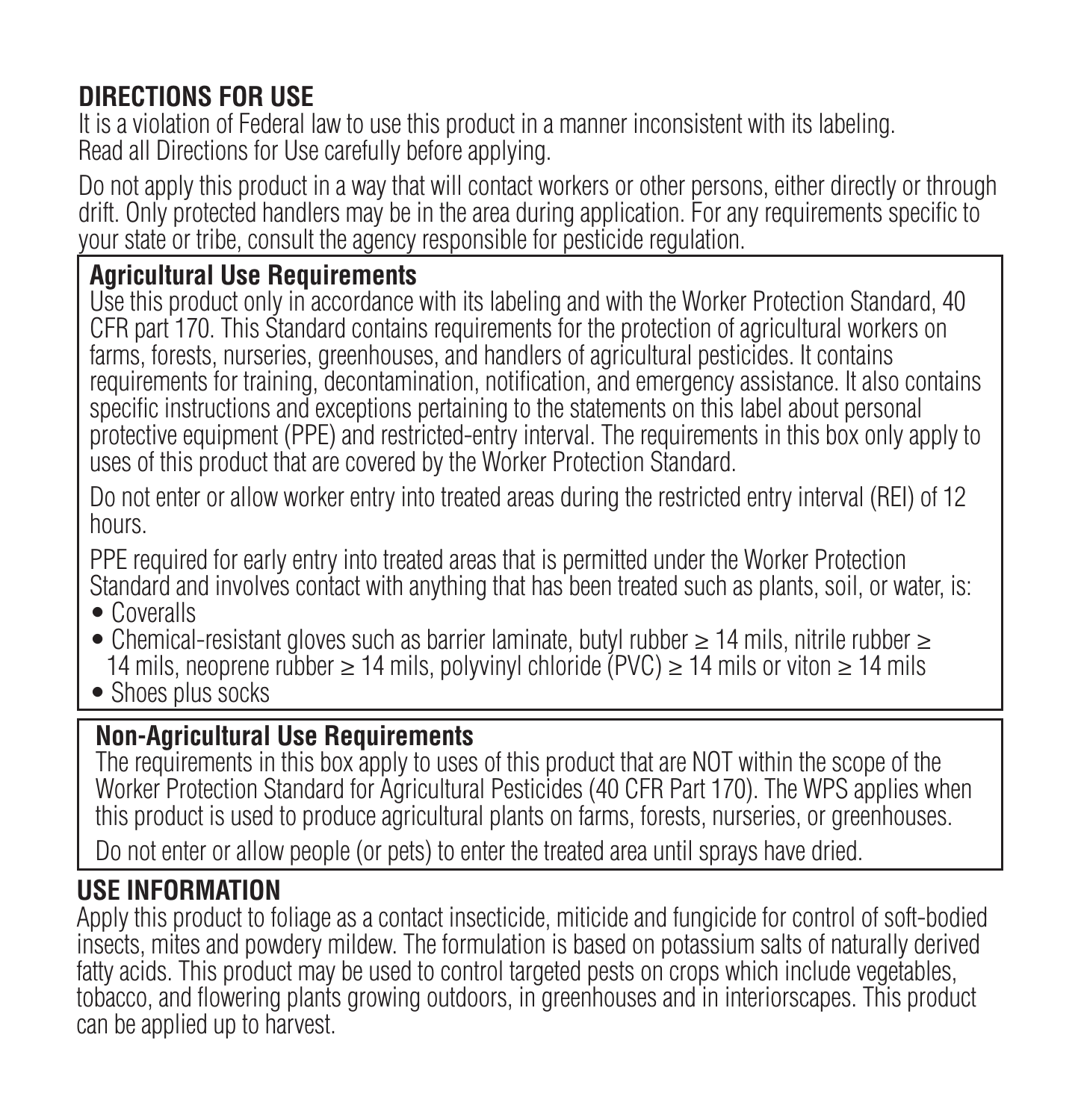# **DIRECTIONS FOR USE**

It is a violation of Federal law to use this product in a manner inconsistent with its labeling. Read all Directions for Use carefully before applying.

Do not apply this product in a way that will contact workers or other persons, either directly or through drift. Only protected handlers may be in the area during application. For any requirements specific to your state or tribe, consult the agency responsible for pesticide regulation.

#### **Agricultural Use Requirements**

Use this product only in accordance with its labeling and with the Worker Protection Standard, 40 CFR part 170. This Standard contains requirements for the protection of agricultural workers on farms, forests, nurseries, greenhouses, and handlers of agricultural pesticides. It contains requirements for training, decontamination, notification, and emergency assistance. It also contains specific instructions and exceptions pertaining to the statements on this label about personal protective equipment (PPE) and restricted-entry interval. The requirements in this box only apply to uses of this product that are covered by the Worker Protection Standard.

Do not enter or allow worker entry into treated areas during the restricted entry interval (REI) of 12 hours.

PPE required for early entry into treated areas that is permitted under the Worker Protection Standard and involves contact with anything that has been treated such as plants, soil, or water, is:

- Coveralls
- Chemical-resistant gloves such as barrier laminate, butyl rubber ≥ 14 mils, nitrile rubber ≥ 14 mils, neoprene rubber ≥ 14 mils, polyvinyl chloride (PVC) ≥ 14 mils or viton ≥ 14 mils
- Shoes plus socks

# **Non-Agricultural Use Requirements**

The requirements in this box apply to uses of this product that are NOT within the scope of the Worker Protection Standard for Agricultural Pesticides (40 CFR Part 170). The WPS applies when this product is used to produce agricultural plants on farms, forests, nurseries, or greenhouses.

Do not enter or allow people (or pets) to enter the treated area until sprays have dried.

### **USE INFORMATION**

Apply this product to foliage as a contact insecticide, miticide and fungicide for control of soft-bodied insects, mites and powdery mildew. The formulation is based on potassium salts of naturally derived fatty acids. This product may be used to control targeted pests on crops which include vegetables, tobacco, and flowering plants growing outdoors, in greenhouses and in interiorscapes. This product can be applied up to harvest.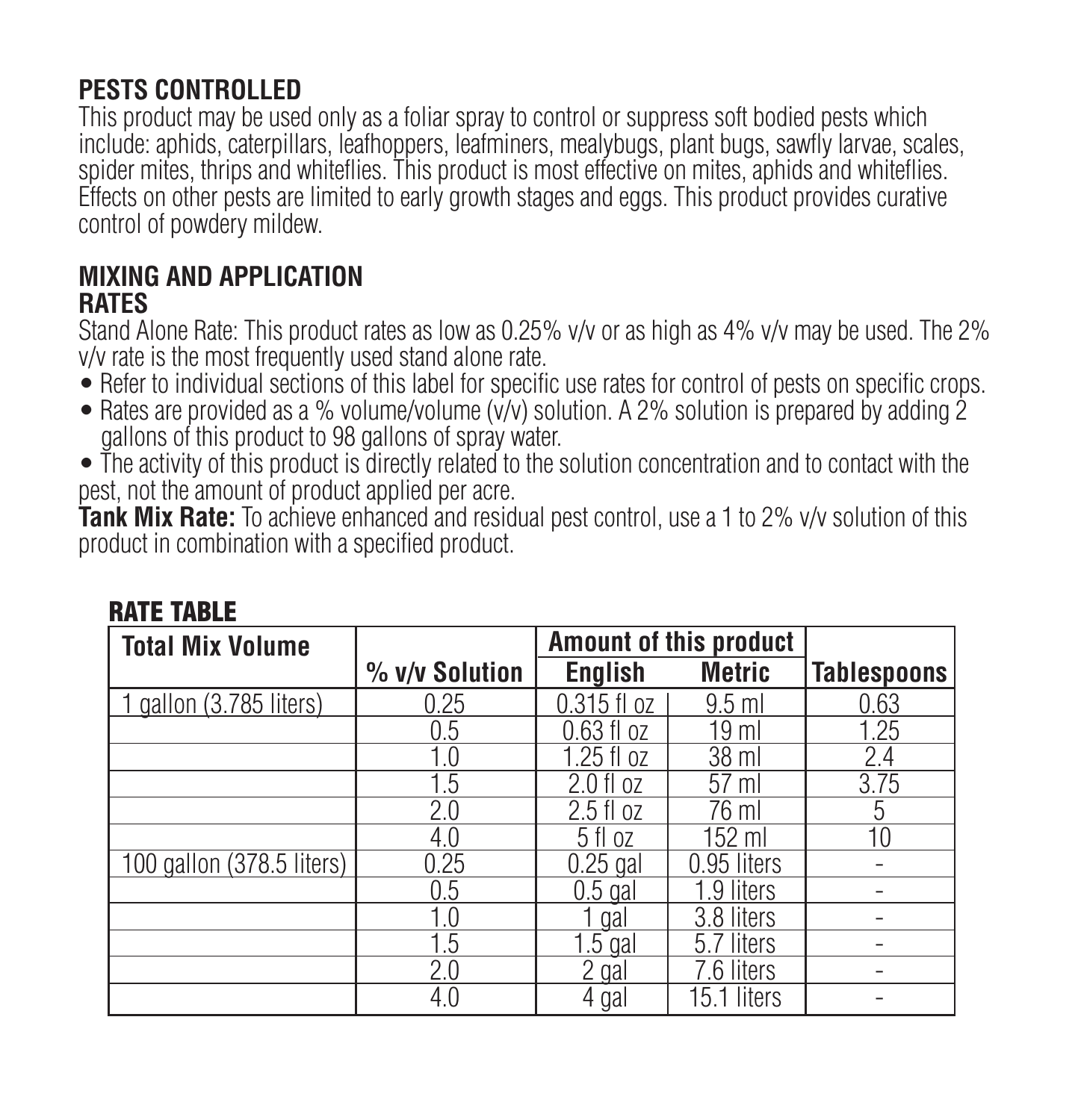# **PESTS CONTROLLED**

This product may be used only as a foliar spray to control or suppress soft bodied pests which include: aphids, caterpillars, leafhoppers, leafminers, mealybugs, plant bugs, sawfly larvae, scales, spider mites, thrips and whiteflies. This product is most effective on mites, aphids and whiteflies. Effects on other pests are limited to early growth stages and eggs. This product provides curative control of powdery mildew.

#### **MIXING AND APPLICATION RATES**

Stand Alone Rate: This product rates as low as 0.25% v/v or as high as 4% v/v may be used. The 2% v/v rate is the most frequently used stand alone rate.

- Refer to individual sections of this label for specific use rates for control of pests on specific crops.
- Rates are provided as a % volume/volume (v/v) solution. A 2% solution is prepared by adding 2 gallons of this product to 98 gallons of spray water.
- The activity of this product is directly related to the solution concentration and to contact with the pest, not the amount of product applied per acre.

**Tank Mix Rate:** To achieve enhanced and residual pest control, use a 1 to 2% v/v solution of this product in combination with a specified product.

| <b>Total Mix Volume</b>   |                | Amount of this product |                  |                    |
|---------------------------|----------------|------------------------|------------------|--------------------|
|                           | % v/v Solution | English                | Metric           | <b>Tablespoons</b> |
| 1 gallon (3.785 liters)   | 0.25           | $0.315$ fl $oz$        | $9.5$ ml         | 0.63               |
|                           | 0.5            | $0.63$ fl $oz$         | 19 <sub>ml</sub> | 1.25               |
|                           | 1.0            | 1.25 fl oz             | 38 ml            | 2.4                |
|                           | 1.5            | $2.0 f$ oz             | $57$ ml          | 3.75               |
|                           | 2.0            | $2.5$ fl oz            | 76 ml            | 5                  |
|                           | 4.0            | 5 fl oz                | 152 ml           | 10                 |
| 100 gallon (378.5 liters) | 0.25           | $0.25$ gal             | 0.95 liters      |                    |
|                           | 0.5            | $0.5$ gal              | 1.9 liters       |                    |
|                           | 1.0            | 1 gal                  | 3.8 liters       |                    |
|                           | 1.5            | $1.5$ gal              | 5.7 liters       |                    |
|                           | 2.0            | 2 gal                  | 7.6 liters       |                    |
|                           | 4.0            | 4 gal                  | 15.1 liters      |                    |

#### RATE TABLE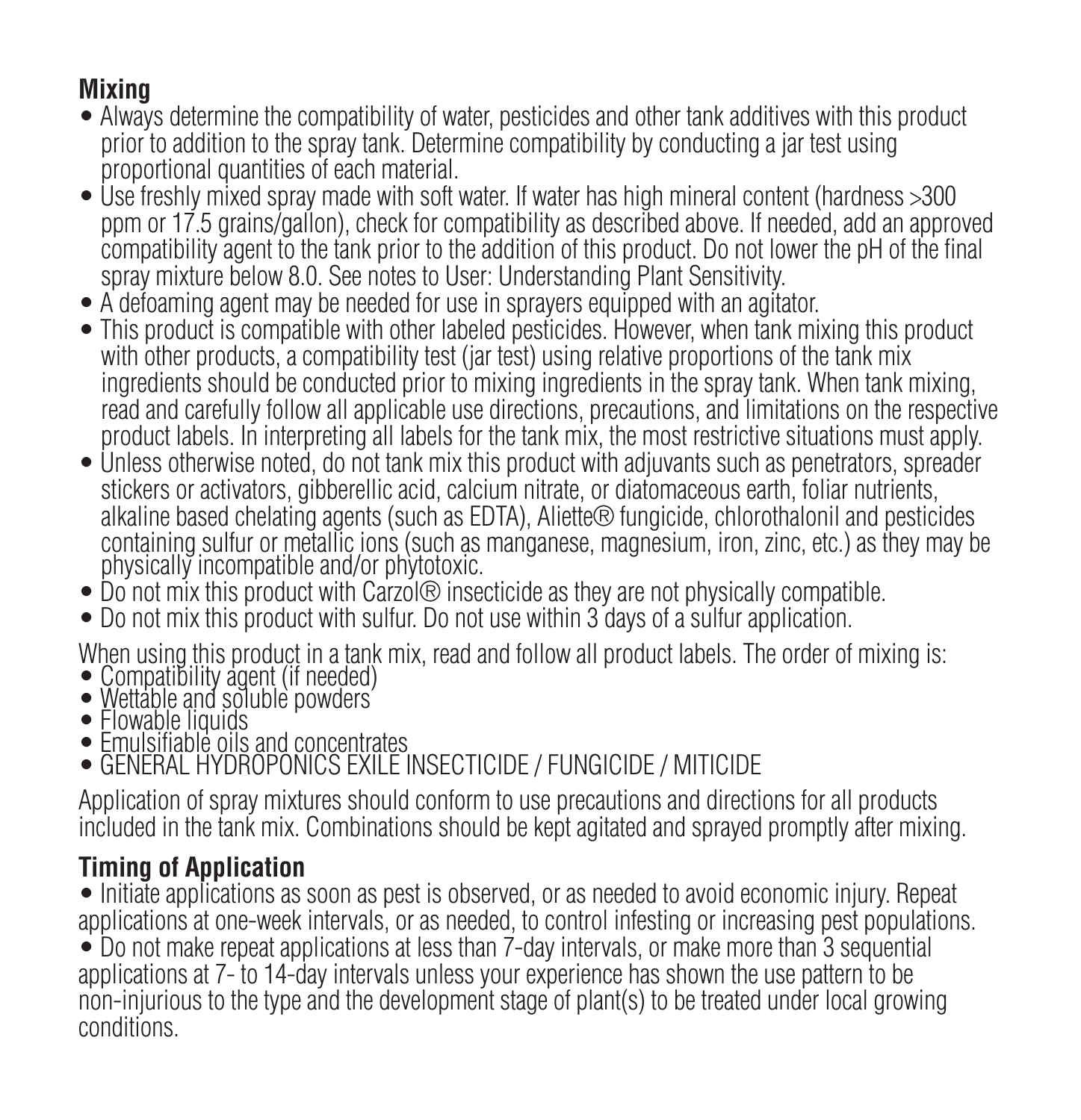# **Mixing**

- Always determine the compatibility of water, pesticides and other tank additives with this product prior to addition to the spray tank. Determine compatibility by conducting a jar test using proportional quantities of each material.
- Use freshly mixed spray made with soft water. If water has high mineral content (hardness >300 ppm or 17.5 grains/gallon), check for compatibility as described above. If needed, add an approved compatibility agent to the tank prior to the addition of this product. Do not lower the pH of the final spray mixture below 8.0. See notes to User: Understanding Plant Sensitivity.
- A defoaming agent may be needed for use in sprayers equipped with an agitator.
- This product is compatible with other labeled pesticides. However, when tank mixing this product with other products, a compatibility test (jar test) using relative proportions of the tank mix ingredients should be conducted prior to mixing ingredients in the spray tank. When tank mixing, read and carefully follow all applicable use directions, precautions, and limitations on the respective product labels. In interpreting all labels for the tank mix, the most restrictive situations must apply.
- Unless otherwise noted, do not tank mix this product with adjuvants such as penetrators, spreader stickers or activators, gibberellic acid, calcium nitrate, or diatomaceous earth, foliar nutrients, alkaline based chelating agents (such as EDTA), Aliette® fungicide, chlorothalonil and pesticides containing sulfur or metallic ions (such as manganese, magnesium, iron, zinc, etc.) as they may be physically incompatible and/or phytotoxic.
- Do not mix this product with Carzol® insecticide as they are not physically compatible.
- Do not mix this product with sulfur. Do not use within 3 days of a sulfur application.

When using this product in a tank mix, read and follow all product labels. The order of mixing is:

- Compatibility agent (if needed) Wettable and soluble powders
- 
- Flowable liquids
- Emulsifiable oils and concentrates GENERAL HYDROPONICS EXILE INSECTICIDE / FUNGICIDE / MITICIDE

Application of spray mixtures should conform to use precautions and directions for all products included in the tank mix. Combinations should be kept agitated and sprayed promptly after mixing.

# **Timing of Application**

• Initiate applications as soon as pest is observed, or as needed to avoid economic injury. Repeat applications at one-week intervals, or as needed, to control infesting or increasing pest populations.

• Do not make repeat applications at less than 7-day intervals, or make more than 3 sequential applications at 7- to 14-day intervals unless your experience has shown the use pattern to be non-injurious to the type and the development stage of plant(s) to be treated under local growing conditions.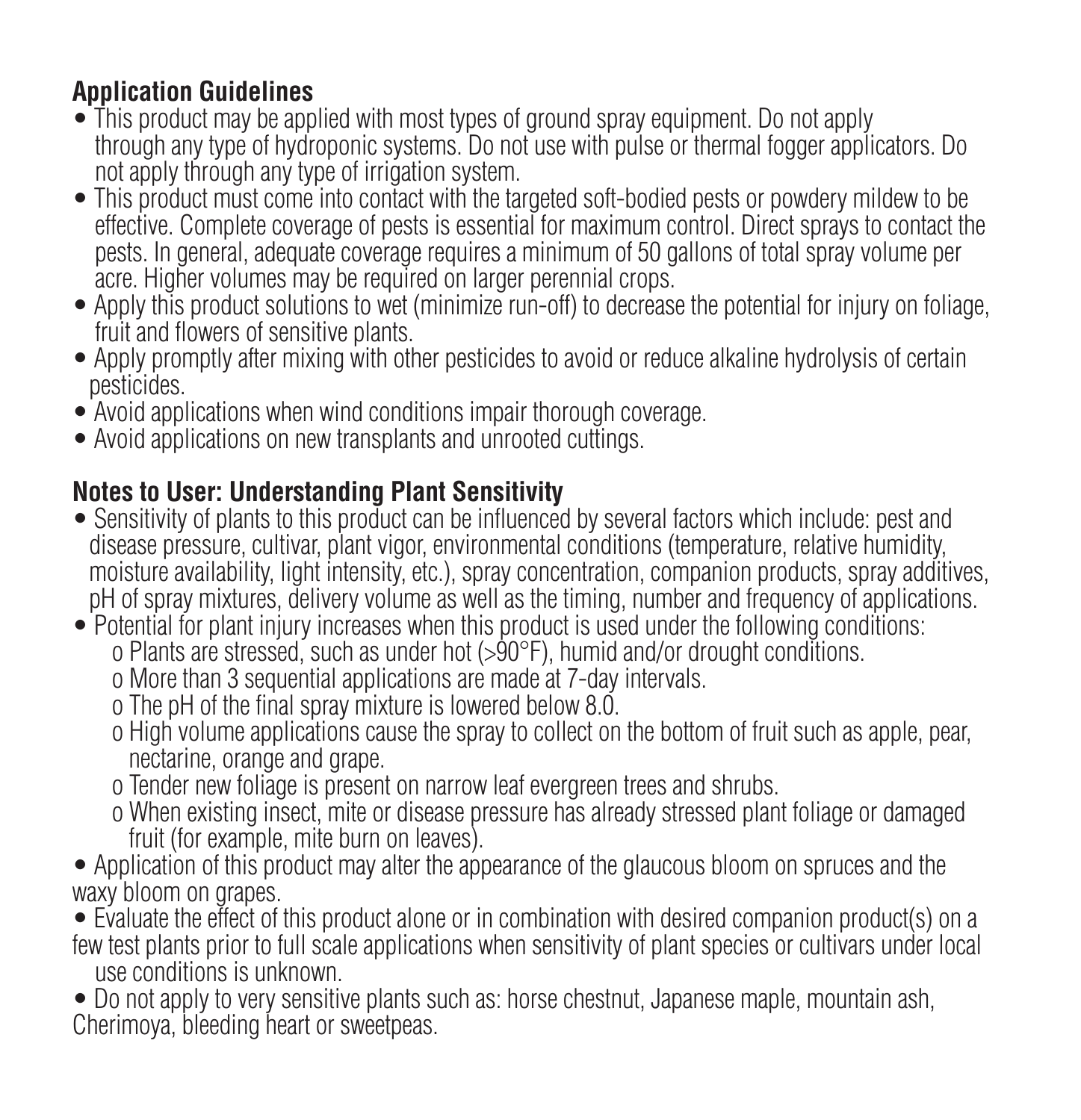# **Application Guidelines**

- This product may be applied with most types of ground spray equipment. Do not apply through any type of hydroponic systems. Do not use with pulse or thermal fogger applicators. Do not apply through any type of irrigation system.
- This product must come into contact with the targeted soft-bodied pests or powdery mildew to be effective. Complete coverage of pests is essential for maximum control. Direct sprays to contact the pests. In general, adequate coverage requires a minimum of 50 gallons of total spray volume per acre. Higher volumes may be required on larger perennial crops.
- Apply this product solutions to wet (minimize run-off) to decrease the potential for injury on foliage. fruit and flowers of sensitive plants.
- Apply promptly after mixing with other pesticides to avoid or reduce alkaline hydrolysis of certain pesticides.
- Avoid applications when wind conditions impair thorough coverage.
- Avoid applications on new transplants and unrooted cuttings.

# **Notes to User: Understanding Plant Sensitivity**

- Sensitivity of plants to this product can be influenced by several factors which include: pest and disease pressure, cultivar, plant vigor, environmental conditions (temperature, relative humidity, moisture availability, light intensity, etc.), spray concentration, companion products, spray additives, pH of spray mixtures, delivery volume as well as the timing, number and frequency of applications.
- Potential for plant injury increases when this product is used under the following conditions: o Plants are stressed, such as under hot (>90°F), humid and/or drought conditions.
	- o More than 3 sequential applications are made at 7-day intervals.
	- o The pH of the final spray mixture is lowered below 8.0.
	- o High volume applications cause the spray to collect on the bottom of fruit such as apple, pear, nectarine, orange and grape.
	- o Tender new foliage is present on narrow leaf evergreen trees and shrubs.
	- o When existing insect, mite or disease pressure has already stressed plant foliage or damaged fruit (for example, mite burn on leaves).
- Application of this product may alter the appearance of the glaucous bloom on spruces and the waxy bloom on grapes.
- Evaluate the effect of this product alone or in combination with desired companion product(s) on a few test plants prior to full scale applications when sensitivity of plant species or cultivars under local use conditions is unknown.
- Do not apply to very sensitive plants such as: horse chestnut, Japanese maple, mountain ash, Cherimoya, bleeding heart or sweetpeas.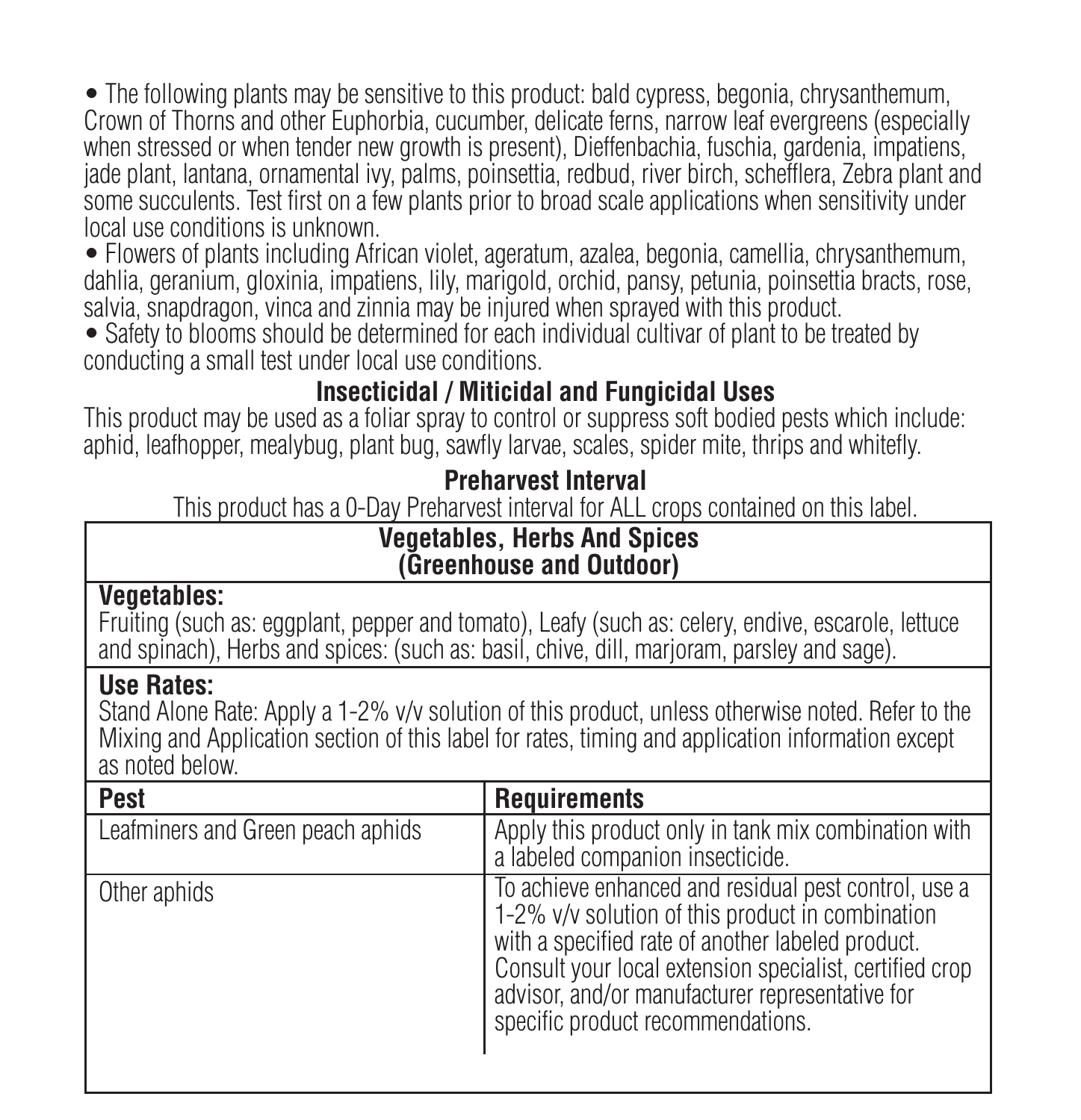• The following plants may be sensitive to this product: bald cypress, begonia, chrysanthemum, Crown of Thorns and other Euphorbia, cucumber, delicate ferns, narrow leaf evergreens (especially when stressed or when tender new growth is present). Dieffenbachia, fuschia, gardenia, impatiens, jade plant, lantana, ornamental ivy, palms, poinsettia, redbud, river birch, schefflera, Zebra plant and some succulents. Test first on a few plants prior to broad scale applications when sensitivity under local use conditions is unknown.

• Flowers of plants including African violet, ageratum, azalea, begonia, camellia, chrysanthemum, dahlia, geranium, gloxinia, impatiens, lily, marigold, orchid, pansy, petunia, poinsettia bracts, rose, salvia, snapdragon, vinca and zinnia may be injured when sprayed with this product.

• Safety to blooms should be determined for each individual cultivar of plant to be treated by conducting a small test under local use conditions.

### **Insecticidal / Miticidal and Fungicidal Uses**

This product may be used as a foliar spray to control or suppress soft bodied pests which include: aphid, leafhopper, mealybug, plant bug, sawfly larvae, scales, spider mite, thrips and whitefly.

# **Preharvest Interval**

This product has a 0-Day Preharvest interval for ALL crops contained on this label.

#### **Vegetables, Herbs And Spices (Greenhouse and Outdoor)**

#### **Vegetables:**

Fruiting (such as: eggplant, pepper and tomato), Leafy (such as: celery, endive, escarole, lettuce and spinach), Herbs and spices: (such as: basil, chive, dill, marjoram, parsley and sage).

### **Use Rates:**

Stand Alone Rate: Apply a 1-2% v/v solution of this product, unless otherwise noted. Refer to the Mixing and Application section of this label for rates, timing and application information except as noted below.

| Pest                              | <b>Requirements</b>                                                                                                                                                                                                                                                                                              |
|-----------------------------------|------------------------------------------------------------------------------------------------------------------------------------------------------------------------------------------------------------------------------------------------------------------------------------------------------------------|
| Leafminers and Green peach aphids | Apply this product only in tank mix combination with<br>a labeled companion insecticide.                                                                                                                                                                                                                         |
| Other aphids                      | To achieve enhanced and residual pest control, use a<br>1-2% v/v solution of this product in combination<br>with a specified rate of another labeled product.<br>Consult your local extension specialist, certified crop<br>advisor, and/or manufacturer representative for<br>specific product recommendations. |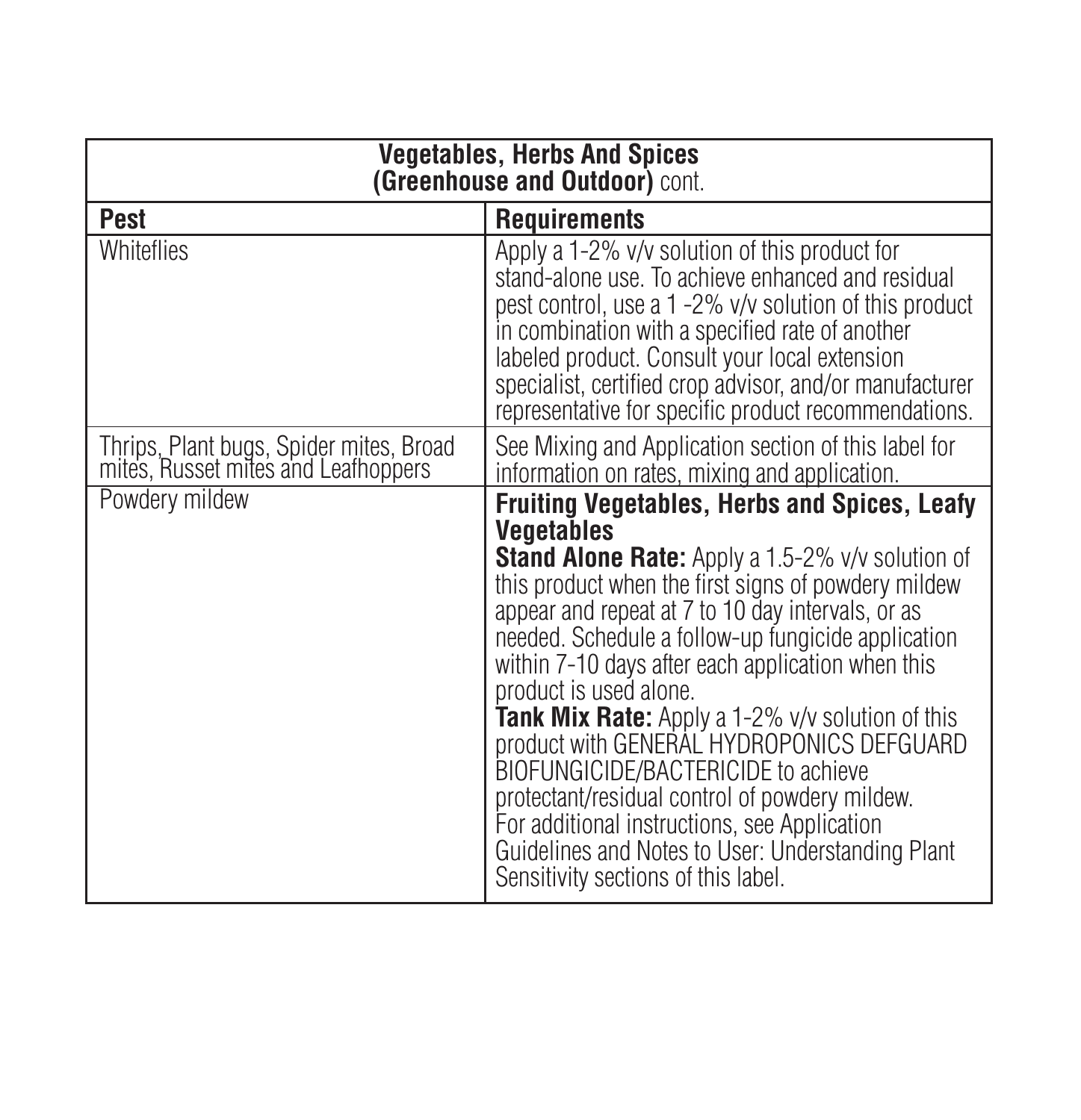| <b>Vegetables, Herbs And Spices</b><br>(Greenhouse and Outdoor) cont.          |                                                                                                                                                                                                                                                                                                                                                                                                                                                                                                                                                                                                                                                                                                              |  |  |
|--------------------------------------------------------------------------------|--------------------------------------------------------------------------------------------------------------------------------------------------------------------------------------------------------------------------------------------------------------------------------------------------------------------------------------------------------------------------------------------------------------------------------------------------------------------------------------------------------------------------------------------------------------------------------------------------------------------------------------------------------------------------------------------------------------|--|--|
| Pest                                                                           | Requirements                                                                                                                                                                                                                                                                                                                                                                                                                                                                                                                                                                                                                                                                                                 |  |  |
| Whiteflies                                                                     | Apply a 1-2% v/v solution of this product for<br>stand-alone use. To achieve enhanced and residual<br>pest control, use a 1-2% v/v solution of this product<br>in combination with a specified rate of another<br>labeled product. Consult your local extension<br>specialist, certified crop advisor, and/or manufacturer<br>representative for specific product recommendations.                                                                                                                                                                                                                                                                                                                           |  |  |
| Thrips, Plant bugs, Spider mites, Broad<br>mites, Russet mites and Leathoppers | See Mixing and Application section of this label for<br>information on rates, mixing and application.                                                                                                                                                                                                                                                                                                                                                                                                                                                                                                                                                                                                        |  |  |
| Powdery mildew                                                                 | <b>Fruiting Vegetables, Herbs and Spices, Leafy</b><br>Vegetables<br>Stand Alone Rate: Apply a 1.5-2% v/v solution of<br>this product when the first signs of powdery mildew<br>appear and repeat at 7 to 10 day intervals, or as<br>needed. Schedule a follow-up fungicide application<br>within 7-10 days after each application when this<br>product is used alone.<br>Tank Mix Rate: Apply a 1-2% v/v solution of this<br>product with GENERAL HYDROPONICS DEFGUARD<br>BIOFUNGICIDE/BACTERICIDE to achieve<br>protectant/residual control of powdery mildew.<br>For additional instructions, see Application<br>Guidelines and Notes to User: Understanding Plant<br>Sensitivity sections of this label. |  |  |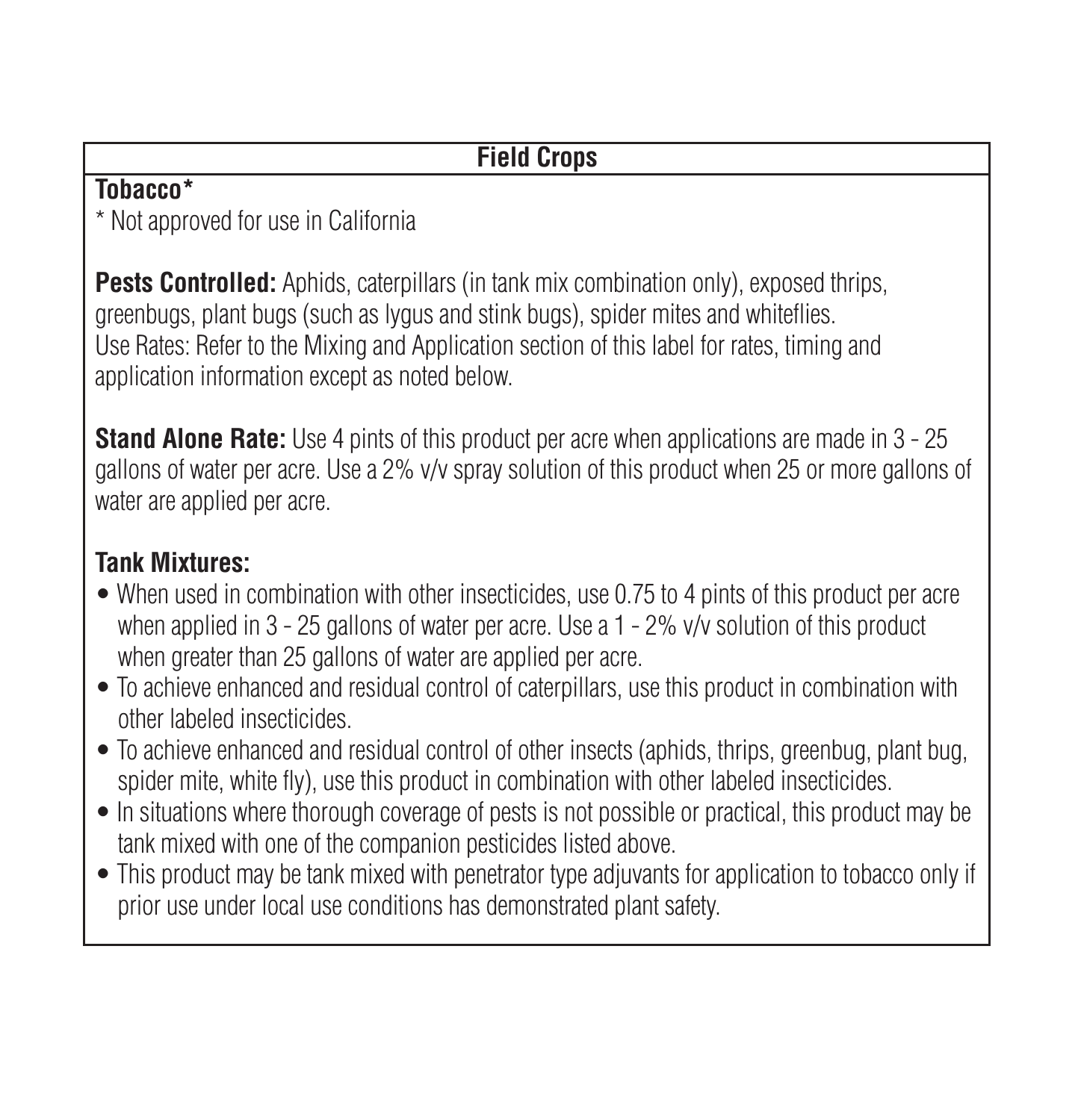# **Field Crops**

#### **Tobacco\***

\* Not approved for use in California

**Pests Controlled:** Aphids, caterpillars (in tank mix combination only), exposed thrips, greenbugs, plant bugs (such as lygus and stink bugs), spider mites and whiteflies. Use Rates: Refer to the Mixing and Application section of this label for rates, timing and application information except as noted below.

**Stand Alone Rate:** Use 4 pints of this product per acre when applications are made in 3 - 25 gallons of water per acre. Use a 2% v/v spray solution of this product when 25 or more gallons of water are applied per acre.

# **Tank Mixtures:**

- When used in combination with other insecticides, use 0.75 to 4 pints of this product per acre when applied in 3 - 25 gallons of water per acre. Use a 1 - 2% v/v solution of this product when greater than 25 gallons of water are applied per acre.
- To achieve enhanced and residual control of caterpillars, use this product in combination with other labeled insecticides.
- To achieve enhanced and residual control of other insects (aphids, thrips, greenbug, plant bug, spider mite, white fly), use this product in combination with other labeled insecticides.
- In situations where thorough coverage of pests is not possible or practical, this product may be tank mixed with one of the companion pesticides listed above.
- This product may be tank mixed with penetrator type adjuvants for application to tobacco only if prior use under local use conditions has demonstrated plant safety.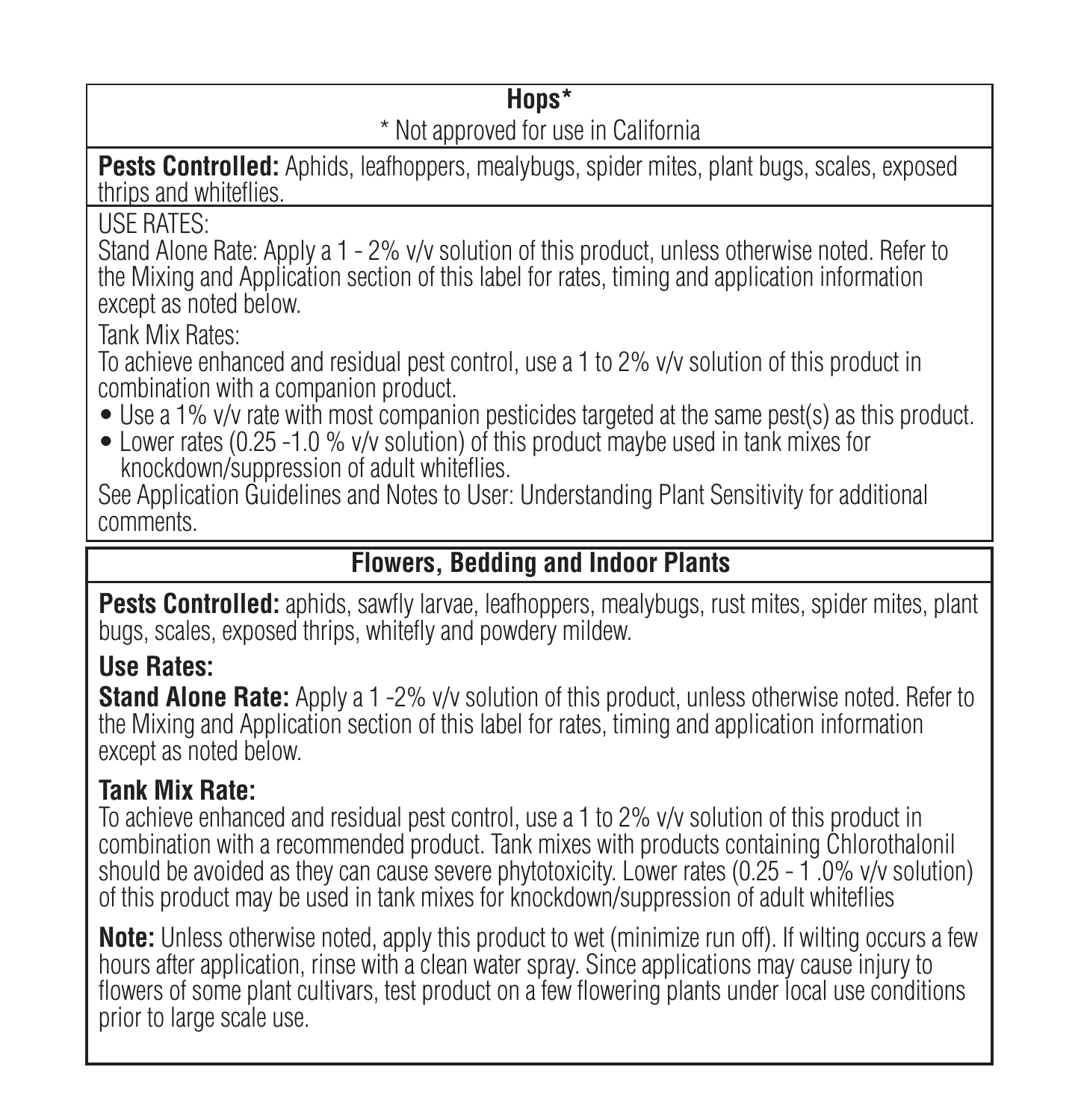# **Hops\***

### \* Not approved for use in California

**Pests Controlled:** Aphids, leafhoppers, mealybugs, spider mites, plant bugs, scales, exposed thrips and whiteflies.

USE RATES:

Stand Alone Rate: Apply a 1 - 2% v/v solution of this product, unless otherwise noted. Refer to the Mixing and Application section of this label for rates, timing and application information except as noted below.

Tank Mix Rates:

To achieve enhanced and residual pest control, use a 1 to 2% v/v solution of this product in combination with a companion product.

- Use a 1% *v/y* rate with most companion pesticides targeted at the same pest(s) as this product.
- Lower rates (0.25 -1.0 % v/v solution) of this product maybe used in tank mixes for knockdown/suppression of adult whiteflies.

See Application Guidelines and Notes to User: Understanding Plant Sensitivity for additional comments.

### **Flowers, Bedding and Indoor Plants**

**Pests Controlled:** aphids, sawfly larvae, leafhoppers, mealybugs, rust mites, spider mites, plant bugs, scales, exposed thrips, whitefly and powdery mildew.

## **Use Rates:**

**Stand Alone Rate:** Apply a 1 -2% v/v solution of this product, unless otherwise noted. Refer to the Mixing and Application section of this label for rates, timing and application information except as noted below.

### **Tank Mix Rate:**

To achieve enhanced and residual pest control, use a 1 to 2% v/v solution of this product in combination with a recommended product. Tank mixes with products containing Chlorothalonil should be avoided as they can cause severe phytotoxicity. Lower rates (0.25 - 1.0% v/y solution) of this product may be used in tank mixes for knockdown/suppression of adult whiteflies

**Note:** Unless otherwise noted, apply this product to wet (minimize run off). If wilting occurs a few hours after application, rinse with a clean water spray. Since applications may cause injury to flowers of some plant cultivars, test product on a few flowering plants under local use conditions prior to large scale use.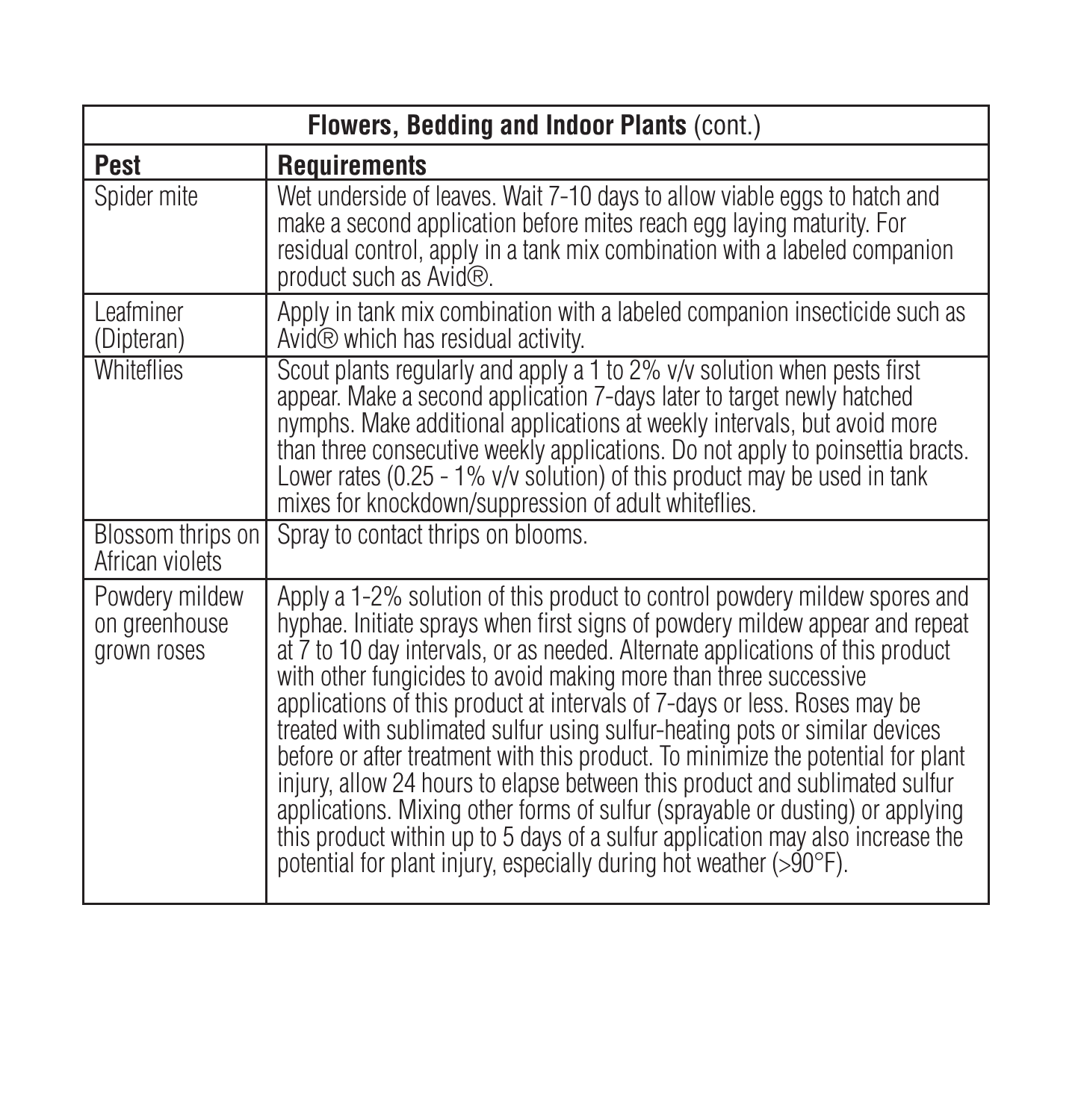| Flowers, Bedding and Indoor Plants (cont.)     |                                                                                                                                                                                                                                                                                                                                                                                                                                                                                                                                                                                                                                                                                                                                                                                                                                                                                          |  |  |
|------------------------------------------------|------------------------------------------------------------------------------------------------------------------------------------------------------------------------------------------------------------------------------------------------------------------------------------------------------------------------------------------------------------------------------------------------------------------------------------------------------------------------------------------------------------------------------------------------------------------------------------------------------------------------------------------------------------------------------------------------------------------------------------------------------------------------------------------------------------------------------------------------------------------------------------------|--|--|
| Pest                                           | <b>Requirements</b>                                                                                                                                                                                                                                                                                                                                                                                                                                                                                                                                                                                                                                                                                                                                                                                                                                                                      |  |  |
| Spider mite                                    | Wet underside of leaves. Wait 7-10 days to allow viable eggs to hatch and<br>make a second application before mites reach egg laying maturity. For<br>residual control, apply in a tank mix combination with a labeled companion<br>product such as Avid®.                                                                                                                                                                                                                                                                                                                                                                                                                                                                                                                                                                                                                               |  |  |
| I eafminer<br>(Dipteran)                       | Apply in tank mix combination with a labeled companion insecticide such as<br>Avid <sup>®</sup> which has residual activity.                                                                                                                                                                                                                                                                                                                                                                                                                                                                                                                                                                                                                                                                                                                                                             |  |  |
| <b>Whiteflies</b>                              | Scout plants regularly and apply a 1 to 2% v/v solution when pests first<br>appear. Make a second application 7-days later to target newly hatched<br>nymphs. Make additional applications at weekly intervals, but avoid more<br>than three consecutive weekly applications. Do not apply to poinsettia bracts.<br>Lower rates (0.25 - 1% v/v solution) of this product may be used in tank<br>mixes for knockdown/suppression of adult whiteflies.                                                                                                                                                                                                                                                                                                                                                                                                                                     |  |  |
| Blossom thrips on<br>African violets           | Spray to contact thrips on blooms.                                                                                                                                                                                                                                                                                                                                                                                                                                                                                                                                                                                                                                                                                                                                                                                                                                                       |  |  |
| Powdery mildew<br>on greenhouse<br>grown roses | Apply a 1-2% solution of this product to control powdery mildew spores and<br>hyphae. Initiate sprays when first signs of powdery mildew appear and repeat<br>at 7 to 10 day intervals, or as needed. Alternate applications of this product<br>with other fungicides to avoid making more than three successive<br>applications of this product at intervals of 7-days or less. Roses may be<br>treated with sublimated sulfur using sulfur-heating pots or similar devices<br>before or after treatment with this product. To minimize the potential for plant<br>injury, allow 24 hours to elapse between this product and sublimated sulfur<br>applications. Mixing other forms of sulfur (sprayable or dusting) or applying<br>this product within up to 5 days of a sulfur application may also increase the<br>potential for plant injury, especially during hot weather (>90°F). |  |  |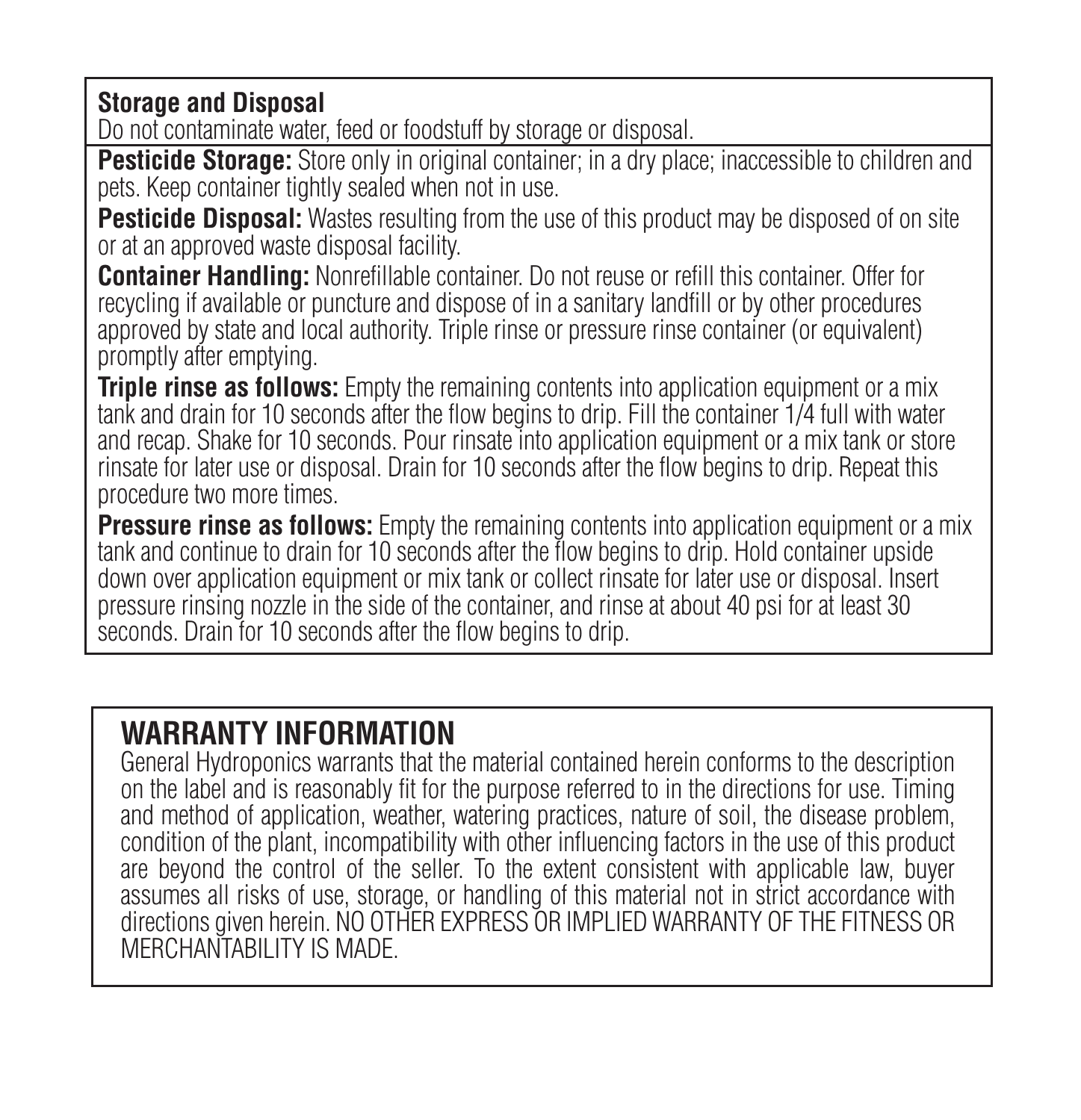**Storage and Disposal**

Do not contaminate water, feed or foodstuff by storage or disposal.

**Pesticide Storage:** Store only in original container; in a dry place; inaccessible to children and pets. Keep container tightly sealed when not in use.

**Pesticide Disposal:** Wastes resulting from the use of this product may be disposed of on site or at an approved waste disposal facility.

**Container Handling:** Nonrefillable container. Do not reuse or refill this container. Offer for recycling if available or puncture and dispose of in a sanitary landfill or by other procedures approved by state and local authority. Triple rinse or pressure rinse container (or equivalent) promptly after emptying.

**Triple rinse as follows:** Empty the remaining contents into application equipment or a mix tank and drain for 10 seconds after the flow begins to drip. Fill the container 1/4 full with water and recap. Shake for 10 seconds. Pour rinsate into application equipment or a mix tank or store rinsate for later use or disposal. Drain for 10 seconds after the flow begins to drip. Repeat this procedure two more times.

**Pressure rinse as follows:** Empty the remaining contents into application equipment or a mix tank and continue to drain for 10 seconds after the flow begins to drip. Hold container upside down over application equipment or mix tank or collect rinsate for later use or disposal. Insert pressure rinsing nozzle in the side of the container, and rinse at about 40 psi for at least 30 seconds. Drain for 10 seconds after the flow begins to drip.

# **WARRANTY INFORMATION**

General Hydroponics warrants that the material contained herein conforms to the description on the label and is reasonably fit for the purpose referred to in the directions for use. Timing and method of application, weather, watering practices, nature of soil, the disease problem, condition of the plant, incompatibility with other influencing factors in the use of this product are beyond the control of the seller. To the extent consistent with applicable law, buyer assumes all risks of use, storage, or handling of this material not in strict accordance with directions given herein. NO OTHER EXPRESS OR IMPLIED WARRANTY OF THE FITNESS OR MERCHANTABILITY IS MADE.